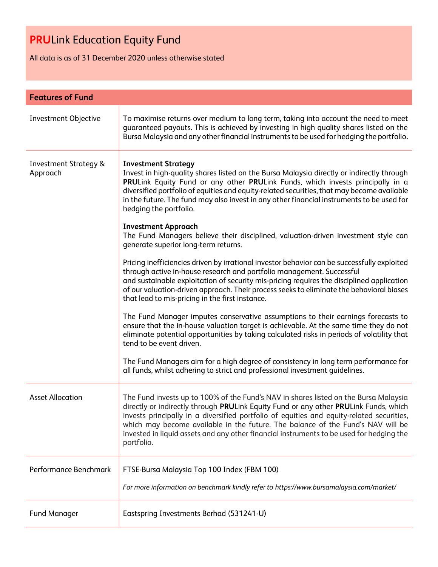All data is as of 31 December 2020 unless otherwise stated

| <b>Features of Fund</b>                      |                                                                                                                                                                                                                                                                                                                                                                                                                                                                        |  |
|----------------------------------------------|------------------------------------------------------------------------------------------------------------------------------------------------------------------------------------------------------------------------------------------------------------------------------------------------------------------------------------------------------------------------------------------------------------------------------------------------------------------------|--|
| <b>Investment Objective</b>                  | To maximise returns over medium to long term, taking into account the need to meet<br>guaranteed payouts. This is achieved by investing in high quality shares listed on the<br>Bursa Malaysia and any other financial instruments to be used for hedging the portfolio.                                                                                                                                                                                               |  |
| <b>Investment Strategy &amp;</b><br>Approach | <b>Investment Strategy</b><br>Invest in high-quality shares listed on the Bursa Malaysia directly or indirectly through<br>PRULink Equity Fund or any other PRULink Funds, which invests principally in a<br>diversified portfolio of equities and equity-related securities, that may become available<br>in the future. The fund may also invest in any other financial instruments to be used for<br>hedging the portfolio.                                         |  |
|                                              | <b>Investment Approach</b><br>The Fund Managers believe their disciplined, valuation-driven investment style can<br>generate superior long-term returns.                                                                                                                                                                                                                                                                                                               |  |
|                                              | Pricing inefficiencies driven by irrational investor behavior can be successfully exploited<br>through active in-house research and portfolio management. Successful<br>and sustainable exploitation of security mis-pricing requires the disciplined application<br>of our valuation-driven approach. Their process seeks to eliminate the behavioral biases<br>that lead to mis-pricing in the first instance.                                                       |  |
|                                              | The Fund Manager imputes conservative assumptions to their earnings forecasts to<br>ensure that the in-house valuation target is achievable. At the same time they do not<br>eliminate potential opportunities by taking calculated risks in periods of volatility that<br>tend to be event driven.                                                                                                                                                                    |  |
|                                              | The Fund Managers aim for a high degree of consistency in long term performance for<br>all funds, whilst adhering to strict and professional investment guidelines.                                                                                                                                                                                                                                                                                                    |  |
| <b>Asset Allocation</b>                      | The Fund invests up to 100% of the Fund's NAV in shares listed on the Bursa Malaysia<br>directly or indirectly through PRULink Equity Fund or any other PRULink Funds, which<br>invests principally in a diversified portfolio of equities and equity-related securities,<br>which may become available in the future. The balance of the Fund's NAV will be<br>invested in liquid assets and any other financial instruments to be used for hedging the<br>portfolio. |  |
| Performance Benchmark                        | FTSE-Bursa Malaysia Top 100 Index (FBM 100)                                                                                                                                                                                                                                                                                                                                                                                                                            |  |
|                                              | For more information on benchmark kindly refer to https://www.bursamalaysia.com/market/                                                                                                                                                                                                                                                                                                                                                                                |  |
| <b>Fund Manager</b>                          | Eastspring Investments Berhad (531241-U)                                                                                                                                                                                                                                                                                                                                                                                                                               |  |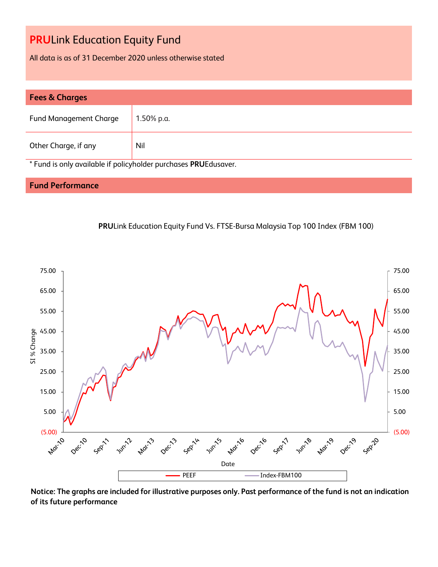All data is as of 31 December 2020 unless otherwise stated

| <b>Fees &amp; Charges</b>                                       |               |  |
|-----------------------------------------------------------------|---------------|--|
| <b>Fund Management Charge</b>                                   | $1.50\%$ p.a. |  |
| Other Charge, if any                                            | Nil           |  |
| * Fund is only available if policyholder purchases PRUEdusaver. |               |  |

### **Fund Performance**





**Notice: The graphs are included for illustrative purposes only. Past performance of the fund is not an indication of its future performance**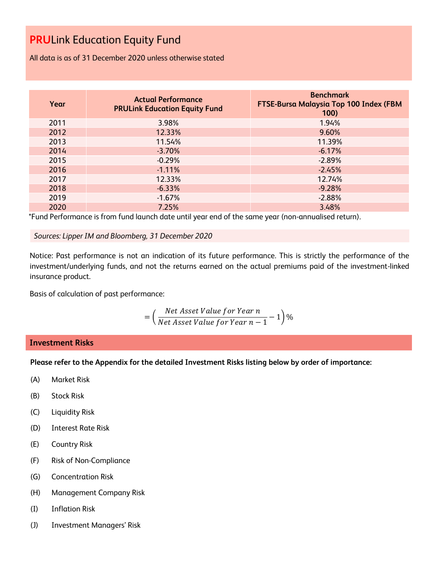All data is as of 31 December 2020 unless otherwise stated

| Year | <b>Actual Performance</b><br><b>PRULink Education Equity Fund</b> | <b>Benchmark</b><br><b>FTSE-Bursa Malaysia Top 100 Index (FBM</b><br>100) |
|------|-------------------------------------------------------------------|---------------------------------------------------------------------------|
| 2011 | 3.98%                                                             | 1.94%                                                                     |
| 2012 | 12.33%                                                            | 9.60%                                                                     |
| 2013 | 11.54%                                                            | 11.39%                                                                    |
| 2014 | $-3.70%$                                                          | $-6.17%$                                                                  |
| 2015 | $-0.29%$                                                          | $-2.89%$                                                                  |
| 2016 | $-1.11%$                                                          | $-2.45%$                                                                  |
| 2017 | 12.33%                                                            | 12.74%                                                                    |
| 2018 | $-6.33%$                                                          | $-9.28%$                                                                  |
| 2019 | $-1.67%$                                                          | $-2.88%$                                                                  |
| 2020 | 7.25%                                                             | 3.48%                                                                     |

\*Fund Performance is from fund launch date until year end of the same year (non-annualised return).

*Sources: Lipper IM and Bloomberg, 31 December 2020*

Notice: Past performance is not an indication of its future performance. This is strictly the performance of the investment/underlying funds, and not the returns earned on the actual premiums paid of the investment-linked insurance product.

Basis of calculation of past performance:

$$
= \left(\frac{Net\ Asset\ Value\ for\ Year\ n}{Net\ Asset\ Value\ for\ Year\ n-1} - 1\right)\%
$$

### **Investment Risks**

**Please refer to the Appendix for the detailed Investment Risks listing below by order of importance:**

- (A) Market Risk
- (B) Stock Risk
- (C) Liquidity Risk
- (D) Interest Rate Risk
- (E) Country Risk
- (F) Risk of Non-Compliance
- (G) Concentration Risk
- (H) Management Company Risk
- (I) Inflation Risk
- (J) Investment Managers' Risk